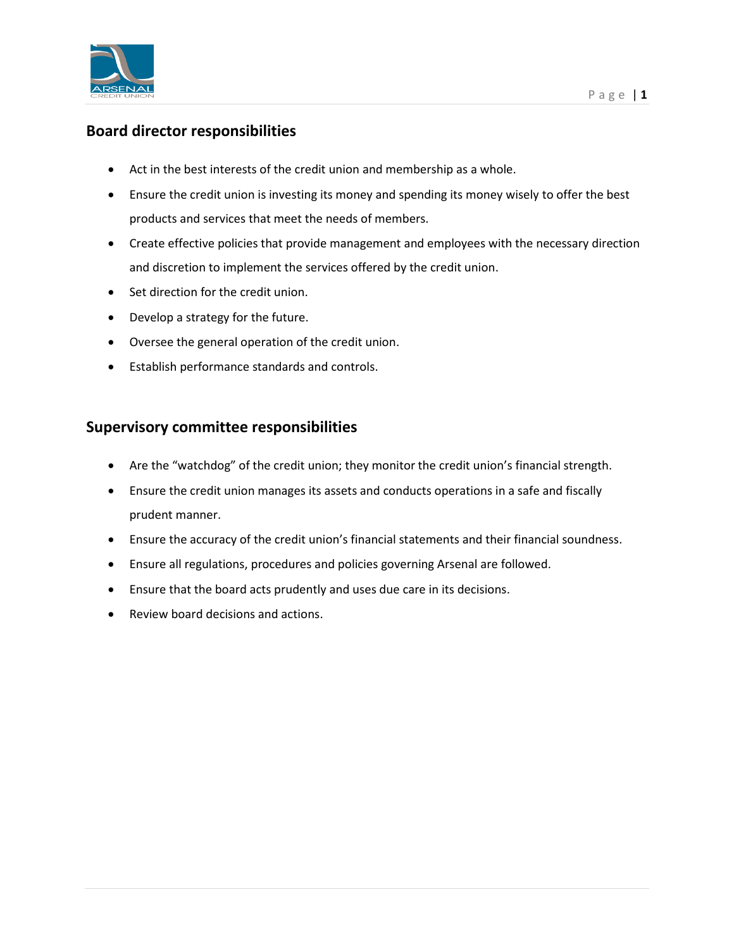

## **Board director responsibilities**

- Act in the best interests of the credit union and membership as a whole.
- Ensure the credit union is investing its money and spending its money wisely to offer the best products and services that meet the needs of members.
- Create effective policies that provide management and employees with the necessary direction and discretion to implement the services offered by the credit union.
- Set direction for the credit union.
- Develop a strategy for the future.
- Oversee the general operation of the credit union.
- Establish performance standards and controls.

## **Supervisory committee responsibilities**

- Are the "watchdog" of the credit union; they monitor the credit union's financial strength.
- Ensure the credit union manages its assets and conducts operations in a safe and fiscally prudent manner.
- Ensure the accuracy of the credit union's financial statements and their financial soundness.
- Ensure all regulations, procedures and policies governing Arsenal are followed.
- Ensure that the board acts prudently and uses due care in its decisions.
- Review board decisions and actions.